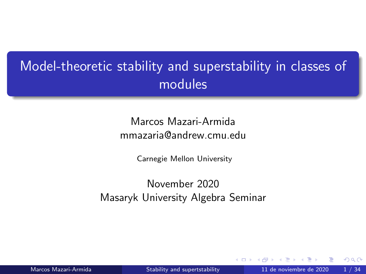# <span id="page-0-0"></span>Model-theoretic stability and superstability in classes of modules

#### Marcos Mazari-Armida mmazaria@andrew.cmu.edu

Carnegie Mellon University

## November 2020 Masaryk University Algebra Seminar

 $\Omega$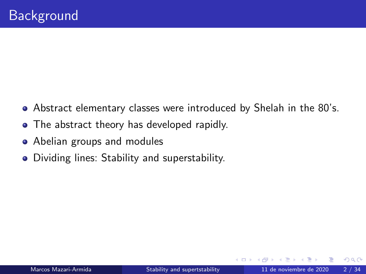- Abstract elementary classes were introduced by Shelah in the 80's.
- The abstract theory has developed rapidly.
- Abelian groups and modules
- Dividing lines: Stability and superstability.

4 D F

 $\Omega$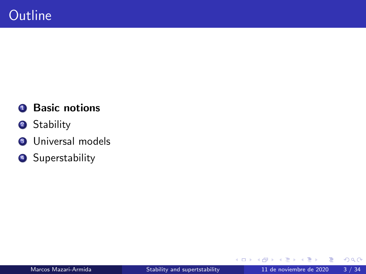## **1** Basic notions

- <sup>2</sup> Stability
- <sup>3</sup> Universal models
- 4 Superstability

4 0 8 1

×

 $299$ 

活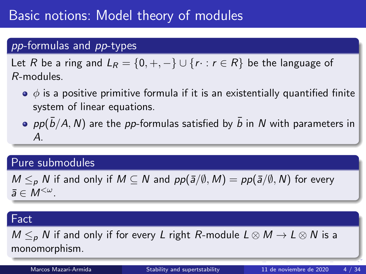# Basic notions: Model theory of modules

## pp-formulas and pp-types

Let R be a ring and  $L_R = \{0, +, -\} \cup \{r : r \in R\}$  be the language of R-modules.

- $\bullet$   $\phi$  is a positive primitive formula if it is an existentially quantified finite system of linear equations.
- $p \rho(\bar{b}/A, N)$  are the pp-formulas satisfied by  $\bar{b}$  in N with parameters in A.

#### Pure submodules

 $M \leq_{p} N$  if and only if  $M \subseteq N$  and  $pp(\bar{a}/\emptyset, M) = pp(\bar{a}/\emptyset, N)$  for every  $\bar{a} \in M^{<\omega}$ .

#### Fact

 $M \leq_{p} N$  if and only if for every L right R-module  $L \otimes M \rightarrow L \otimes N$  is a monomorphism.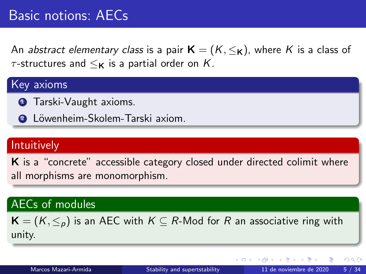# Basic notions: AECs

An abstract elementary class is a pair  $K = (K, \leq_K)$ , where K is a class of  $\tau$ -structures and  $\leq_{\mathsf{K}}$  is a partial order on K.

#### Key axioms

- **1** Tarski-Vaught axioms.
- **2** Löwenheim-Skolem-Tarski axiom.

#### Intuitively

K is a "concrete" accessible category closed under directed colimit where all morphisms are monomorphism.

#### AECs of modules

 $\mathbf{K} = (K, \leq_n)$  is an AEC with  $K \subseteq R$ -Mod for R an associative ring with unity.

∢ □ ▶ ⊣ *f*i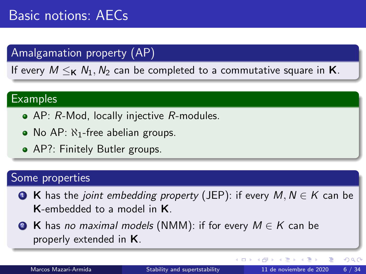## Amalgamation property (AP)

If every  $M \leq_K N_1, N_2$  can be completed to a commutative square in **K**.

#### **Examples**

- AP: R-Mod, locally injective R-modules.
- No AP:  $\aleph_1$ -free abelian groups.
- AP?: Finitely Butler groups.

## Some properties

- **4** K has the *joint embedding property* (JEP): if every  $M, N \in K$  can be K-embedded to a model in K.
- **2 K** has no maximal models (NMM): if for every  $M \in K$  can be properly extended in K.

∢ □ ▶ ⊣ *f*il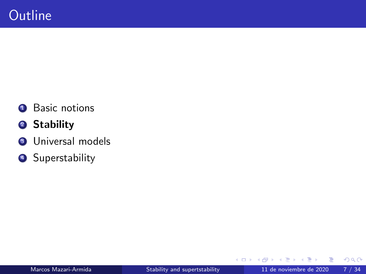- **1** Basic notions
- <sup>2</sup> Stability
- <sup>3</sup> Universal models
- 4 Superstability

4 0 8

×

 $299$ 

活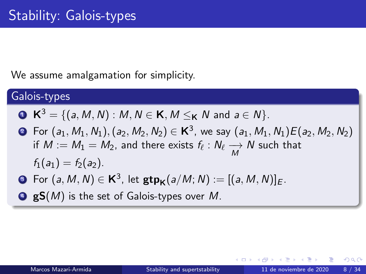We assume amalgamation for simplicity.

#### Galois-types

• 
$$
K^3 = \{(a, M, N) : M, N \in K, M \leq_K N \text{ and } a \in N\}.
$$

- ? For  $(a_1, M_1, N_1), (a_2, M_2, N_2) \in \mathbf{K}^3$ , we say  $(a_1, M_1, N_1)E(a_2, M_2, N_2)$ if  $M := M_1 = M_2$ , and there exists  $f_\ell : N_\ell \underset{M}{\longrightarrow} N$  such that  $f_1(a_1) = f_2(a_2)$ .
- **3** For  $(a, M, N) \in \mathbf{K}^3$ , let  $\mathsf{gtp}_{\mathbf{K}}(a/M; N) := [(a, M, N)]_E$ .
- $\bullet$  gS(M) is the set of Galois-types over M.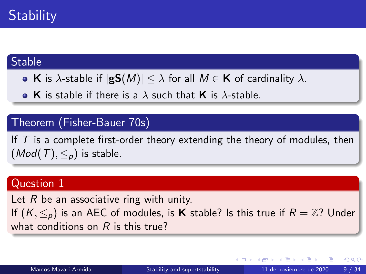#### **Stable**

• K is  $\lambda$ -stable if  $|gS(M)| \leq \lambda$  for all  $M \in K$  of cardinality  $\lambda$ .

• K is stable if there is a  $\lambda$  such that K is  $\lambda$ -stable.

## Theorem (Fisher-Bauer 70s)

If  $T$  is a complete first-order theory extending the theory of modules, then  $(Mod(T), \leq_n)$  is stable.

#### Question 1

Let  $R$  be an associative ring with unity. If  $(K, \leq_p)$  is an AEC of modules, is **K** stable? Is this true if  $R = \mathbb{Z}$ ? Under what conditions on  $R$  is this true?

 $200$ 

イロト イ押 トイヨ トイヨ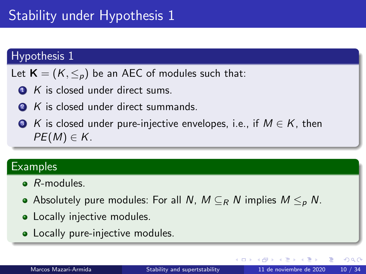# Stability under Hypothesis 1

#### Hypothesis 1

Let  $\mathbf{K} = (K, \leq_p)$  be an AEC of modules such that:

- $\bullet$  K is closed under direct sums.
- **2** K is closed under direct summands.

 $\bullet$  K is closed under pure-injective envelopes, i.e., if  $M \in K$ , then  $PE(M) \in K$ .

#### **Examples**

- **B**-modules
- Absolutely pure modules: For all N,  $M \subseteq_R N$  implies  $M \leq_R N$ .
- Locally injective modules.
- Locally pure-injective modules.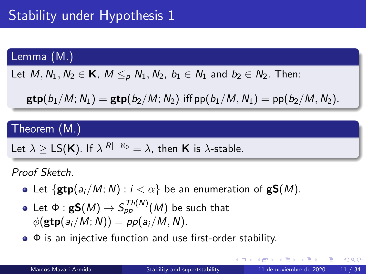## Lemma (M.)

Let  $M, N_1, N_2 \in \mathsf{K}$ ,  $M \leq_{\rho} N_1, N_2$ ,  $b_1 \in N_1$  and  $b_2 \in N_2$ . Then:

 $gtp(b_1/M; N_1) = gtp(b_2/M; N_2)$  iff  $pp(b_1/M, N_1) = pp(b_2/M, N_2)$ .

#### Theorem (M.)

Let  $\lambda \geq \textsf{LS}(\mathsf{K})$ . If  $\lambda^{|\mathsf{R}| + \aleph_0} = \lambda$ , then **K** is  $\lambda$ -stable.

Proof Sketch.

- Let  $\{ \text{gtp}(a_i/M; N) : i < \alpha \}$  be an enumeration of  $\text{gS}(M)$ .
- Let  $\Phi: \mathbf{gS}(M) \rightarrow S_{\rho\rho}^{Th(N)}(M)$  be such that  $\phi(\text{gtp}(a_i/M; N)) = pp(a_i/M, N).$
- $\bullet$   $\Phi$  is an injective function and use first-order stability.

 $QQ$ 

イロト イ押ト イヨト イヨトー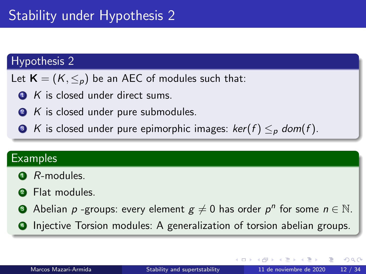# Stability under Hypothesis 2

#### Hypothesis 2

- Let  $\mathbf{K} = (K, \leq_p)$  be an AEC of modules such that:
	- $\bullet$  K is closed under direct sums.
	- 2 K is closed under pure submodules.
	- **3** K is closed under pure epimorphic images:  $ker(f) \leq_{p} dom(f)$ .

#### **Examples**

- $\bullet$  R-modules.
- <sup>2</sup> Flat modules.
- $\bullet$  Abelian  $p$  -groups: every element  $g\neq 0$  has order  $p^{n}$  for some  $n\in \mathbb{N}.$
- Injective Torsion modules: A generalization of torsion abelian groups.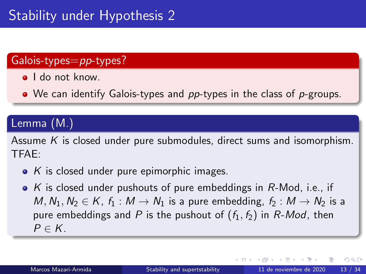## <span id="page-12-0"></span>Galois-types=pp-types?

- **I** do not know.
- We can identify Galois-types and pp-types in the class of p-groups.

## Lemma (M.)

Assume  $K$  is closed under pure submodules, direct sums and isomorphism. TFAE:

- $\bullet$  K is closed under pure epimorphic images.
- $\bullet$  K is closed under pushouts of pure embeddings in R-Mod, i.e., if M,  $N_1, N_2 \in K$ ,  $f_1 : M \to N_1$  is a pure embedding,  $f_2 : M \to N_2$  is a pure embeddings and P is the pushout of  $(f_1, f_2)$  in R-Mod, then  $P \in K$ .

∢ □ ▶ ⊣ *f*i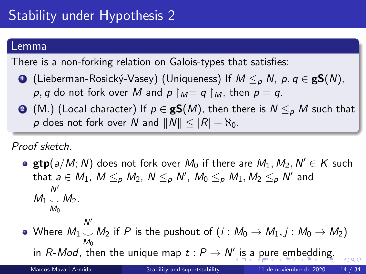#### <span id="page-13-0"></span>Lemma

There is a non-forking relation on Galois-types that satisfies:

- (Lieberman-Rosický-Vasey) (Uniqueness) If  $M \leq_{p} N$ ,  $p, q \in \mathbf{gS}(N)$ , p, q do not fork over M and  $p \upharpoonright_M = q \upharpoonright_M$ , then  $p = q$ .
- **■** (M.) (Local character) If  $p \in \mathbf{gS}(M)$ , then there is  $N \leq p$  M such that p does not fork over N and  $||N|| < |R| + \aleph_0$ .

Proof sketch.

 $\texttt{gtp}(a/M; N)$  does not fork over  $M_0$  if there are  $M_1, M_2, N' \in K$  such that  $a\in M_1$ ,  $M\leq_p M_2$ ,  $N\leq_p N'$ ,  $M_0\leq_p M_1, M_2\leq_p N'$  and  $M_1\bigcup_{M_0}M_2.$  $N^{\prime}$ 

Where  $M_1\mathbin{\downarrow} M_2$  if  $P$  is the pushout of  $(i : M_0 \to M_1, j : M_0 \to M_2)$  $N^{\prime}$ [i](#page-12-0)nR-Mod, then the unique [m](#page-33-0)ap  $t: P \to N'$  is [a](#page-14-0) [pu](#page-13-0)[re](#page-14-0) [e](#page-0-0)m[bed](#page-0-0)[di](#page-33-0)[ng](#page-0-0)[.](#page-33-0)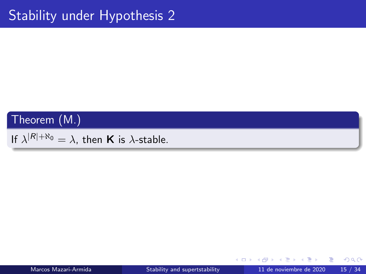#### <span id="page-14-0"></span>Theorem (M.)

If  $\lambda^{|R|+{\aleph_0}}=\lambda$ , then **K** is  $\lambda$ -stable.

化重 经收票

4 D.K.

 $299$ 

画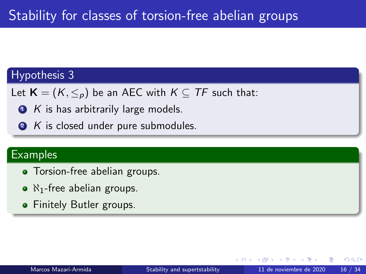#### Hypothesis 3

Let  $\mathbf{K} = (K, \leq_p)$  be an AEC with  $K \subseteq TF$  such that:

 $\bullet$  K is has arbitrarily large models.

2 K is closed under pure submodules.

#### **Examples**

- Torsion-free abelian groups.
- $\bullet$  N<sub>1</sub>-free abelian groups.
- **•** Finitely Butler groups.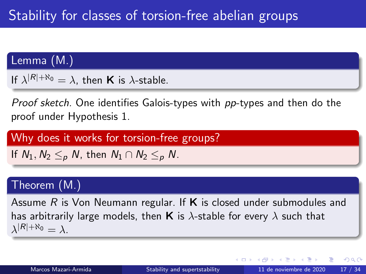## Lemma (M.)

If  $\lambda^{|R|+{\aleph_0}}=\lambda$ , then **K** is  $\lambda$ -stable.

Proof sketch. One identifies Galois-types with pp-types and then do the proof under Hypothesis 1.

Why does it works for torsion-free groups?

If  $N_1, N_2 \leq_p N$ , then  $N_1 \cap N_2 \leq_p N$ .

#### Theorem (M.)

Assume  $R$  is Von Neumann regular. If  $\bf{K}$  is closed under submodules and has arbitrarily large models, then **K** is  $\lambda$ -stable for every  $\lambda$  such that  $\lambda^{|R| + \aleph_0} = \lambda.$ 

 $QQ$ 

イロト イ押ト イヨト イヨト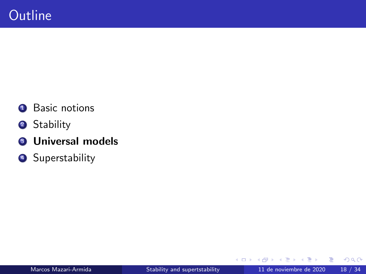- **1** Basic notions
- <sup>2</sup> Stability
- **3** Universal models
- 4 Superstability

≈  $\sim$ 

4 日下

×

 $299$ 

活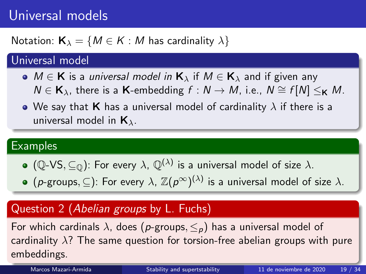# <span id="page-18-0"></span>Universal models

Notation:  $\mathbf{K}_{\lambda} = \{M \in \mathcal{K} : M \text{ has cardinality } \lambda\}$ 

## Universal model

- $M \in K$  is a *universal model in*  $K_{\lambda}$  if  $M \in K_{\lambda}$  and if given any  $N \in \mathbf{K}_{\lambda}$ , there is a K-embedding  $f : N \to M$ , i.e.,  $N \cong f[N] <_{\mathbf{K}} M$ .
- We say that **K** has a universal model of cardinality  $\lambda$  if there is a universal model in  $K_{\lambda}$ .

#### **Examples**

- $(\mathbb Q\text{-}\mathsf{VS},\subseteq_\mathbb Q)$ : For every  $\lambda$ ,  $\mathbb Q^{(\lambda)}$  is a universal model of size  $\lambda$ .
- (p-groups,  $\subseteq$ ): For every  $\lambda$ ,  $\mathbb{Z}(p^{\infty})^{(\lambda)}$  is a universal model of size  $\lambda$ .

## Question 2 (Abelian groups by L. Fuchs)

For which cardinals  $\lambda$ , does (p-groups,  $\leq_{p}$ ) has a universal model of cardinality  $\lambda$ ? The same question for torsion-free abelian groups with pure embeddings.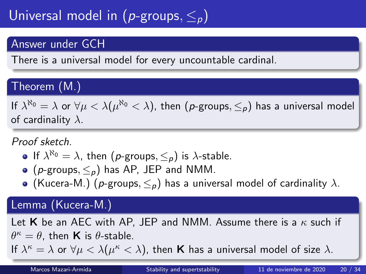# <span id="page-19-0"></span>Universal model in ( $p$ -groups,  $\leq_p$ )

## Answer under GCH

There is a universal model for every uncountable cardinal.

## Theorem (M.)

If  $\lambda^{\aleph_0}=\lambda$  or  $\forall\mu<\lambda(\mu^{\aleph_0}<\lambda),$  then  $(\rho\text{-groups},\leq_\rho)$  has a universal model of cardinality  $\lambda$ .

Proof sketch.

- If  $\lambda^{\aleph_0} = \lambda$ , then  $(p\text{-groups}, \leq_p)$  is  $\lambda\text{-stable}.$
- $\bullet$  (p-groups,  $\leq_{p}$ ) has AP, JEP and NMM.
- (Kucera-M.) (p-groups,  $\leq_p$ ) has a universal model of cardinality  $\lambda$ .

#### Lemma (Kucera-M.)

Let K be an AEC with AP, JEP and NMM. Assume there is a  $\kappa$  such if  $\theta^{\kappa} = \theta$ , then **K** is  $\theta$ -stable. If  $\lambda^{\kappa} = \lambda$  $\lambda^{\kappa} = \lambda$  $\lambda^{\kappa} = \lambda$  [o](#page-20-0)r  $\forall \mu < \lambda (\mu^{\kappa} < \lambda)$  $\forall \mu < \lambda (\mu^{\kappa} < \lambda)$  $\forall \mu < \lambda (\mu^{\kappa} < \lambda)$ , then **K** has a uni[ver](#page-18-0)[sa](#page-20-0)l mo[del](#page-0-0) [of](#page-33-0) [si](#page-0-0)[ze](#page-33-0)  $\lambda$ [.](#page-33-0)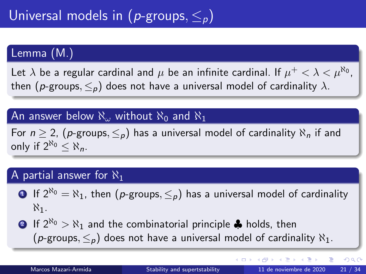## <span id="page-20-0"></span>Lemma (M.)

Let  $\lambda$  be a regular cardinal and  $\mu$  be an infinite cardinal. If  $\mu^+ < \lambda < \mu^{\aleph_0}$ , then (p-groups,  $\leq_{p}$ ) does not have a universal model of cardinality  $\lambda$ .

#### An answer below  $\aleph_{\omega}$  without  $\aleph_0$  and  $\aleph_1$

For  $n \ge 2$ , (p-groups,  $\leq_p$ ) has a universal model of cardinality  $\aleph_n$  if and only if  $2^{\aleph_0} < \aleph_n$ .

#### A partial answer for  $\aleph_1$

- **1** If  $2^{\aleph_0} = \aleph_1$ , then  $(p\text{-groups}, \leq_p)$  has a universal model of cardinality  $\aleph_1$ .
- **2** If  $2^{\aleph_0} > \aleph_1$  and the combinatorial principle  $\clubsuit$  holds, then (p-groups,  $\leq_{p}$ ) does not have a universal model of cardinality  $\aleph_{1}$ .

 $\left\{ \begin{array}{ccc} 1 & 0 & 0 \\ 0 & 1 & 0 \end{array} \right.$ 

画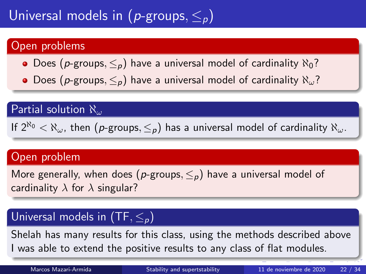# Universal models in ( $p$ -groups,  $\leq_p$ )

## Open problems

- Does (p-groups,  $\leq_p$ ) have a universal model of cardinality  $\aleph_0$ ?
- Does (p-groups,  $\leq_p$ ) have a universal model of cardinality  $\aleph_\omega$ ?

## **Partial solution**  $\aleph_{\omega}$

If  $2^{\aleph_0} < \aleph_\omega$ , then  $(p\text{-groups}, \leq_p)$  has a universal model of cardinality  $\aleph_\omega$ .

#### Open problem

More generally, when does (p-groups,  $\leq_p$ ) have a universal model of cardinality  $\lambda$  for  $\lambda$  singular?

## Universal models in  $(TF, <_p)$

Shelah has many results for this class, using the methods described above I was able to extend the positive results to any class of flat modules.

Marcos Mazari-Armida **[Stability and supertstability](#page-0-0)** 11 de noviembre de 2020 22 / 34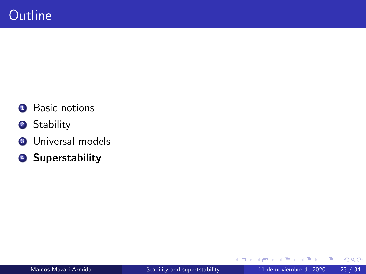- **1** Basic notions
- <sup>2</sup> Stability
- <sup>3</sup> Universal models
- **4** Superstability

≈  $\sim$ 

4 日下

×

 $299$ 

活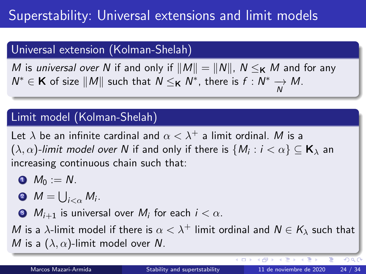# Superstability: Universal extensions and limit models

## Universal extension (Kolman-Shelah)

M is universal over N if and only if  $||M|| = ||N||$ ,  $N \leq_K M$  and for any  $N^*$  ∈ **K** of size  $||M||$  such that  $N \leq_K N^*$ , there is  $f : N^* \to M$ . N

## Limit model (Kolman-Shelah)

Let  $\lambda$  be an infinite cardinal and  $\alpha < \lambda^+$  a limit ordinal. M is a  $(\lambda,\alpha)$ -limit model over  ${\sf N}$  if and only if there is  $\{M_i:i<\alpha\}\subseteq{\sf K}_\lambda$  an increasing continuous chain such that:

- $\bullet M_0 := N$ .
- $M=\bigcup_{i<\alpha}M_i.$
- 3  $\,M_{i+1}\,$  is universal over  $M_i$  for each  $i<\alpha.$

M is a  $\lambda$ -limit model if there is  $\alpha < \lambda^+$  limit ordinal and  $N \in K_\lambda$  such that M is a  $(\lambda, \alpha)$ -limit model over N.

4 D F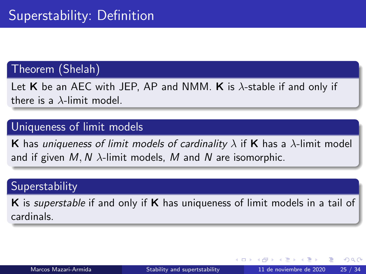#### Theorem (Shelah)

Let  $K$  be an AEC with JEP, AP and NMM.  $K$  is  $\lambda$ -stable if and only if there is a  $\lambda$ -limit model.

#### Uniqueness of limit models

**K** has uniqueness of limit models of cardinality  $\lambda$  if **K** has a  $\lambda$ -limit model and if given  $M, N$   $\lambda$ -limit models, M and N are isomorphic.

#### **Superstability**

K is superstable if and only if K has uniqueness of limit models in a tail of cardinals.

 $QQ$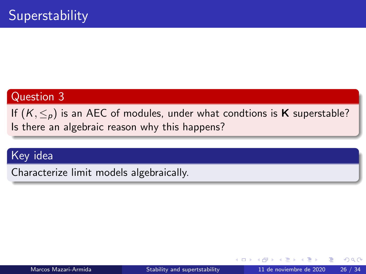## Question 3

If  $(K, \leq_p)$  is an AEC of modules, under what condtions is **K** superstable? Is there an algebraic reason why this happens?

#### Key idea

Characterize limit models algebraically.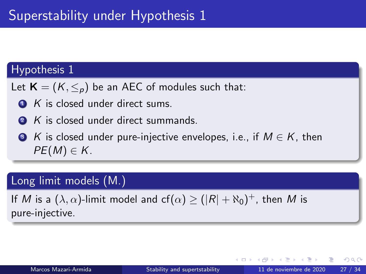#### Hypothesis 1

Let  $\mathbf{K} = (K, \leq_p)$  be an AEC of modules such that:

- $\bullet$  K is closed under direct sums.
- **2** K is closed under direct summands.
- $\bullet$  K is closed under pure-injective envelopes, i.e., if  $M \in K$ , then  $PE(M) \in K$ .

#### Long limit models (M.)

If  $M$  is a  $(\lambda,\alpha)$ -limit model and  $\mathsf{cf}(\alpha) \geq (|\mathcal{R}| + \aleph_0)^+$ , then  $M$  is pure-injective.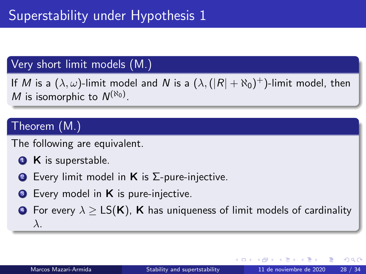#### Very short limit models (M.)

If  $M$  is a  $(\lambda,\omega)$ -limit model and  $N$  is a  $(\lambda,(|R|+\aleph_0)^+)$ -limit model, then M is isomorphic to  $N^{(\aleph_0)}$ .

## Theorem (M.)

The following are equivalent.

- **1 K** is superstable.
- **2** Every limit model in **K** is  $\Sigma$ -pure-injective.
- **3** Every model in **K** is pure-injective.

**•** For every  $\lambda > LS(K)$ , K has uniqueness of limit models of cardinality λ.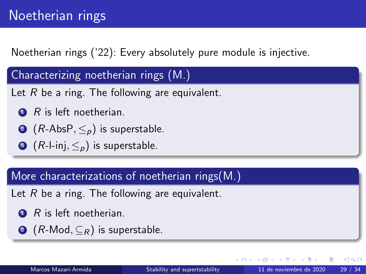Noetherian rings ('22): Every absolutely pure module is injective.

Characterizing noetherian rings (M.)

Let  $R$  be a ring. The following are equivalent.

- $R$  is left noetherian.
- **2** ( $R$ -AbsP,  $\leq_{p}$ ) is superstable.
- **3** (*R*-l-inj,  $\leq_p$ ) is superstable.

More characterizations of noetherian rings(M.)

Let  $R$  be a ring. The following are equivalent.

- $R$  is left noetherian.
- **2** (*R*-Mod,  $\subseteq$ <sub>*R*</sub>) is superstable.

 $\Omega$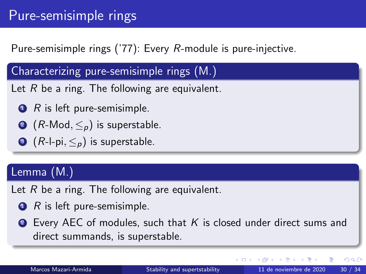# Pure-semisimple rings

Pure-semisimple rings ('77): Every R-module is pure-injective.

Characterizing pure-semisimple rings (M.)

Let  $R$  be a ring. The following are equivalent.

- $\bullet$  R is left pure-semisimple.
- **②**  $(R$ -Mod,  $\leq_p$ ) is superstable.
- **3** (*R*-l-pi,  $\leq_p$ ) is superstable.

## Lemma (M.)

Let  $R$  be a ring. The following are equivalent.

- $\bullet$  R is left pure-semisimple.
- **2** Every AEC of modules, such that K is closed under direct sums and direct summands, is superstable.

4 **ED**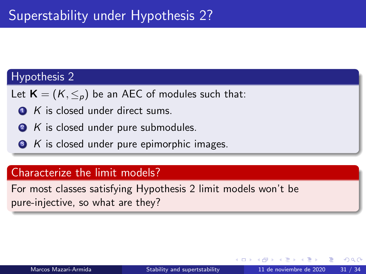#### Hypothesis 2

Let  $\mathbf{K} = (K, \leq_p)$  be an AEC of modules such that:

- $\bullet$  K is closed under direct sums.
- 2 K is closed under pure submodules.
- $\bullet$  K is closed under pure epimorphic images.

#### Characterize the limit models?

For most classes satisfying Hypothesis 2 limit models won't be pure-injective, so what are they?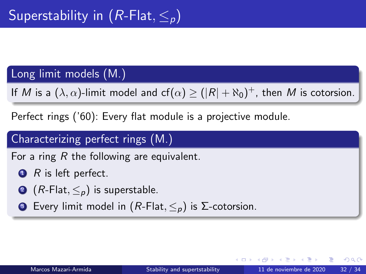## Long limit models (M.)

If  $M$  is a  $(\lambda,\alpha)$ -limit model and  $\mathsf{cf}(\alpha) \geq (|\mathcal{R}| + \aleph_0)^+$ , then  $M$  is cotorsion.

Perfect rings ('60): Every flat module is a projective module.

## Characterizing perfect rings (M.)

For a ring  $R$  the following are equivalent.

- $\bullet$  R is left perfect.
- **2** ( $R$ -Flat,  $\leq_{p}$ ) is superstable.
- **3** Every limit model in  $(R\text{-Flat}, \leq_p)$  is Σ-cotorsion.

 $\Omega$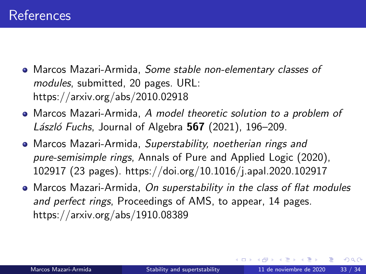- Marcos Mazari-Armida, Some stable non-elementary classes of modules, submitted, 20 pages. URL: https://arxiv.org/abs/2010.02918
- Marcos Mazari-Armida, A model theoretic solution to a problem of László Fuchs, Journal of Algebra  $567$  (2021), 196–209.
- Marcos Mazari-Armida, Superstability, noetherian rings and pure-semisimple rings, Annals of Pure and Applied Logic (2020), 102917 (23 pages). https://doi.org/10.1016/j.apal.2020.102917
- Marcos Mazari-Armida, On superstability in the class of flat modules and perfect rings, Proceedings of AMS, to appear, 14 pages. https://arxiv.org/abs/1910.08389